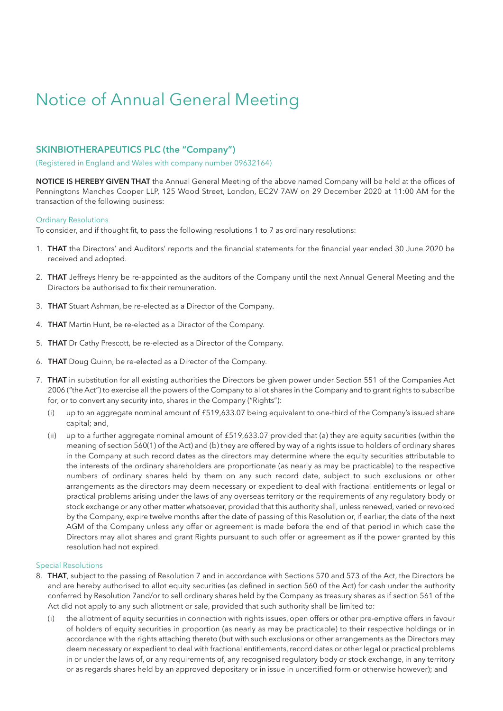# Notice of Annual General Meeting

### **SKINBIOTHERAPEUTICS PLC (the "Company")**

(Registered in England and Wales with company number 09632164)

**NOTICE IS HEREBY GIVEN THAT** the Annual General Meeting of the above named Company will be held at the offices of Penningtons Manches Cooper LLP, 125 Wood Street, London, EC2V 7AW on 29 December 2020 at 11:00 AM for the transaction of the following business:

#### Ordinary Resolutions

To consider, and if thought fit, to pass the following resolutions 1 to 7 as ordinary resolutions:

- 1. **THAT** the Directors' and Auditors' reports and the financial statements for the financial year ended 30 June 2020 be received and adopted.
- 2. **THAT** Jeffreys Henry be re-appointed as the auditors of the Company until the next Annual General Meeting and the Directors be authorised to fix their remuneration.
- 3. **THAT** Stuart Ashman, be re-elected as a Director of the Company.
- 4. **THAT** Martin Hunt, be re-elected as a Director of the Company.
- 5. **THAT** Dr Cathy Prescott, be re-elected as a Director of the Company.
- 6. **THAT** Doug Quinn, be re-elected as a Director of the Company.
- 7. **THAT** in substitution for all existing authorities the Directors be given power under Section 551 of the Companies Act 2006 ("the Act") to exercise all the powers of the Company to allot shares in the Company and to grant rights to subscribe for, or to convert any security into, shares in the Company ("Rights"):
	- (i) up to an aggregate nominal amount of £519,633.07 being equivalent to one-third of the Company's issued share capital; and,
	- (ii) up to a further aggregate nominal amount of £519,633.07 provided that (a) they are equity securities (within the meaning of section 560(1) of the Act) and (b) they are offered by way of a rights issue to holders of ordinary shares in the Company at such record dates as the directors may determine where the equity securities attributable to the interests of the ordinary shareholders are proportionate (as nearly as may be practicable) to the respective numbers of ordinary shares held by them on any such record date, subject to such exclusions or other arrangements as the directors may deem necessary or expedient to deal with fractional entitlements or legal or practical problems arising under the laws of any overseas territory or the requirements of any regulatory body or stock exchange or any other matter whatsoever, provided that this authority shall, unless renewed, varied or revoked by the Company, expire twelve months after the date of passing of this Resolution or, if earlier, the date of the next AGM of the Company unless any offer or agreement is made before the end of that period in which case the Directors may allot shares and grant Rights pursuant to such offer or agreement as if the power granted by this resolution had not expired.

#### Special Resolutions

- 8. **THAT**, subject to the passing of Resolution 7 and in accordance with Sections 570 and 573 of the Act, the Directors be and are hereby authorised to allot equity securities (as defined in section 560 of the Act) for cash under the authority conferred by Resolution 7and/or to sell ordinary shares held by the Company as treasury shares as if section 561 of the Act did not apply to any such allotment or sale, provided that such authority shall be limited to:
	- the allotment of equity securities in connection with rights issues, open offers or other pre-emptive offers in favour of holders of equity securities in proportion (as nearly as may be practicable) to their respective holdings or in accordance with the rights attaching thereto (but with such exclusions or other arrangements as the Directors may deem necessary or expedient to deal with fractional entitlements, record dates or other legal or practical problems in or under the laws of, or any requirements of, any recognised regulatory body or stock exchange, in any territory or as regards shares held by an approved depositary or in issue in uncertified form or otherwise however); and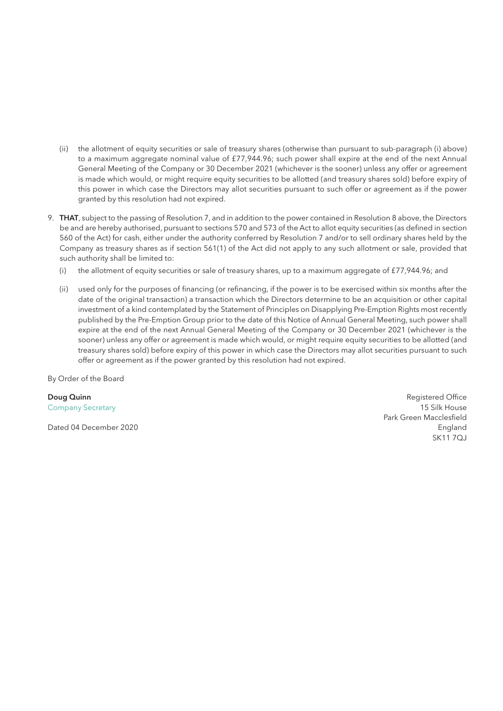- (ii) the allotment of equity securities or sale of treasury shares (otherwise than pursuant to sub-paragraph (i) above) to a maximum aggregate nominal value of £77,944.96; such power shall expire at the end of the next Annual General Meeting of the Company or 30 December 2021 (whichever is the sooner) unless any offer or agreement is made which would, or might require equity securities to be allotted (and treasury shares sold) before expiry of this power in which case the Directors may allot securities pursuant to such offer or agreement as if the power granted by this resolution had not expired.
- 9. **THAT**, subject to the passing of Resolution 7, and in addition to the power contained in Resolution 8 above, the Directors be and are hereby authorised, pursuant to sections 570 and 573 of the Act to allot equity securities (as defined in section 560 of the Act) for cash, either under the authority conferred by Resolution 7 and/or to sell ordinary shares held by the Company as treasury shares as if section 561(1) of the Act did not apply to any such allotment or sale, provided that such authority shall be limited to:
	- (i) the allotment of equity securities or sale of treasury shares, up to a maximum aggregate of £77,944.96; and
	- (ii) used only for the purposes of financing (or refinancing, if the power is to be exercised within six months after the date of the original transaction) a transaction which the Directors determine to be an acquisition or other capital investment of a kind contemplated by the Statement of Principles on Disapplying Pre-Emption Rights most recently published by the Pre-Emption Group prior to the date of this Notice of Annual General Meeting, such power shall expire at the end of the next Annual General Meeting of the Company or 30 December 2021 (whichever is the sooner) unless any offer or agreement is made which would, or might require equity securities to be allotted (and treasury shares sold) before expiry of this power in which case the Directors may allot securities pursuant to such offer or agreement as if the power granted by this resolution had not expired.

By Order of the Board

Dated 04 December 2020 England

**Doug Quinn** Registered Office **Contract Contract Contract Contract Contract Contract Contract Contract Contract Contract Contract Contract Contract Contract Contract Contract Contract Contract Contract Contract Contract C** Company Secretary 15 Silk House Park Green Macclesfield SK11 7QJ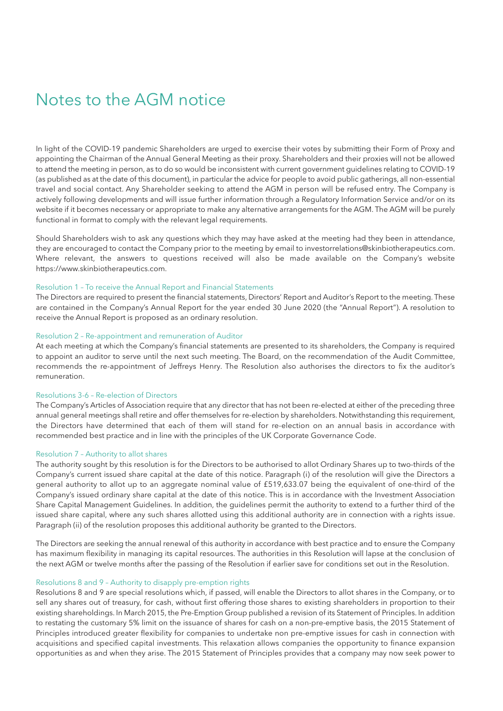## Notes to the AGM notice

In light of the COVID-19 pandemic Shareholders are urged to exercise their votes by submitting their Form of Proxy and appointing the Chairman of the Annual General Meeting as their proxy. Shareholders and their proxies will not be allowed to attend the meeting in person, as to do so would be inconsistent with current government guidelines relating to COVID-19 (as published as at the date of this document), in particular the advice for people to avoid public gatherings, all non-essential travel and social contact. Any Shareholder seeking to attend the AGM in person will be refused entry. The Company is actively following developments and will issue further information through a Regulatory Information Service and/or on its website if it becomes necessary or appropriate to make any alternative arrangements for the AGM. The AGM will be purely functional in format to comply with the relevant legal requirements.

Should Shareholders wish to ask any questions which they may have asked at the meeting had they been in attendance, they are encouraged to contact the Company prior to the meeting by email to investorrelations@skinbiotherapeutics.com. Where relevant, the answers to questions received will also be made available on the Company's website https://www.skinbiotherapeutics.com.

#### Resolution 1 – To receive the Annual Report and Financial Statements

The Directors are required to present the financial statements, Directors' Report and Auditor's Report to the meeting. These are contained in the Company's Annual Report for the year ended 30 June 2020 (the "Annual Report"). A resolution to receive the Annual Report is proposed as an ordinary resolution.

#### Resolution 2 – Re-appointment and remuneration of Auditor

At each meeting at which the Company's financial statements are presented to its shareholders, the Company is required to appoint an auditor to serve until the next such meeting. The Board, on the recommendation of the Audit Committee, recommends the re-appointment of Jeffreys Henry. The Resolution also authorises the directors to fix the auditor's remuneration.

#### Resolutions 3-6 – Re-election of Directors

The Company's Articles of Association require that any director that has not been re-elected at either of the preceding three annual general meetings shall retire and offer themselves for re-election by shareholders. Notwithstanding this requirement, the Directors have determined that each of them will stand for re-election on an annual basis in accordance with recommended best practice and in line with the principles of the UK Corporate Governance Code.

#### Resolution 7 – Authority to allot shares

The authority sought by this resolution is for the Directors to be authorised to allot Ordinary Shares up to two-thirds of the Company's current issued share capital at the date of this notice. Paragraph (i) of the resolution will give the Directors a general authority to allot up to an aggregate nominal value of £519,633.07 being the equivalent of one-third of the Company's issued ordinary share capital at the date of this notice. This is in accordance with the Investment Association Share Capital Management Guidelines. In addition, the guidelines permit the authority to extend to a further third of the issued share capital, where any such shares allotted using this additional authority are in connection with a rights issue. Paragraph (ii) of the resolution proposes this additional authority be granted to the Directors.

The Directors are seeking the annual renewal of this authority in accordance with best practice and to ensure the Company has maximum flexibility in managing its capital resources. The authorities in this Resolution will lapse at the conclusion of the next AGM or twelve months after the passing of the Resolution if earlier save for conditions set out in the Resolution.

#### Resolutions 8 and 9 – Authority to disapply pre-emption rights

Resolutions 8 and 9 are special resolutions which, if passed, will enable the Directors to allot shares in the Company, or to sell any shares out of treasury, for cash, without first offering those shares to existing shareholders in proportion to their existing shareholdings. In March 2015, the Pre-Emption Group published a revision of its Statement of Principles. In addition to restating the customary 5% limit on the issuance of shares for cash on a non-pre-emptive basis, the 2015 Statement of Principles introduced greater flexibility for companies to undertake non pre-emptive issues for cash in connection with acquisitions and specified capital investments. This relaxation allows companies the opportunity to finance expansion opportunities as and when they arise. The 2015 Statement of Principles provides that a company may now seek power to